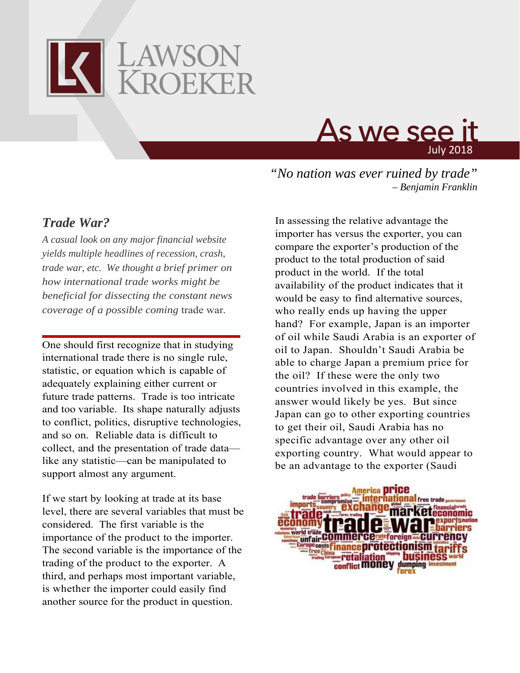



*"No nation was ever ruined by trade" – Benjamin Franklin*

## *Trade War?*

*A casual look on any major financial website yields multiple headlines of recession, crash, trade war, etc. We thought a brief primer on how international trade works might be beneficial for dissecting the constant news coverage of a possible coming* trade war*.*

One should first recognize that in studying international trade there is no single rule, statistic, or equation which is capable of adequately explaining either current or future trade patterns. Trade is too intricate and too variable. Its shape naturally adjusts to conflict, politics, disruptive technologies, and so on. Reliable data is difficult to collect, and the presentation of trade data like any statistic—can be manipulated to support almost any argument.

If we start by looking at trade at its base level, there are several variables that must be considered. The first variable is the importance of the product to the importer. The second variable is the importance of the trading of the product to the exporter. A third, and perhaps most important variable, is whether the importer could easily find another source for the product in question.

In assessing the relative advantage the importer has versus the exporter, you can compare the exporter's production of the product to the total production of said product in the world. If the total availability of the product indicates that it would be easy to find alternative sources, who really ends up having the upper hand? For example, Japan is an importer of oil while Saudi Arabia is an exporter of oil to Japan. Shouldn't Saudi Arabia be able to charge Japan a premium price for the oil? If these were the only two countries involved in this example, the answer would likely be yes. But since Japan can go to other exporting countries to get their oil, Saudi Arabia has no specific advantage over any other oil exporting country. What would appear to be an advantage to the exporter (Saudi